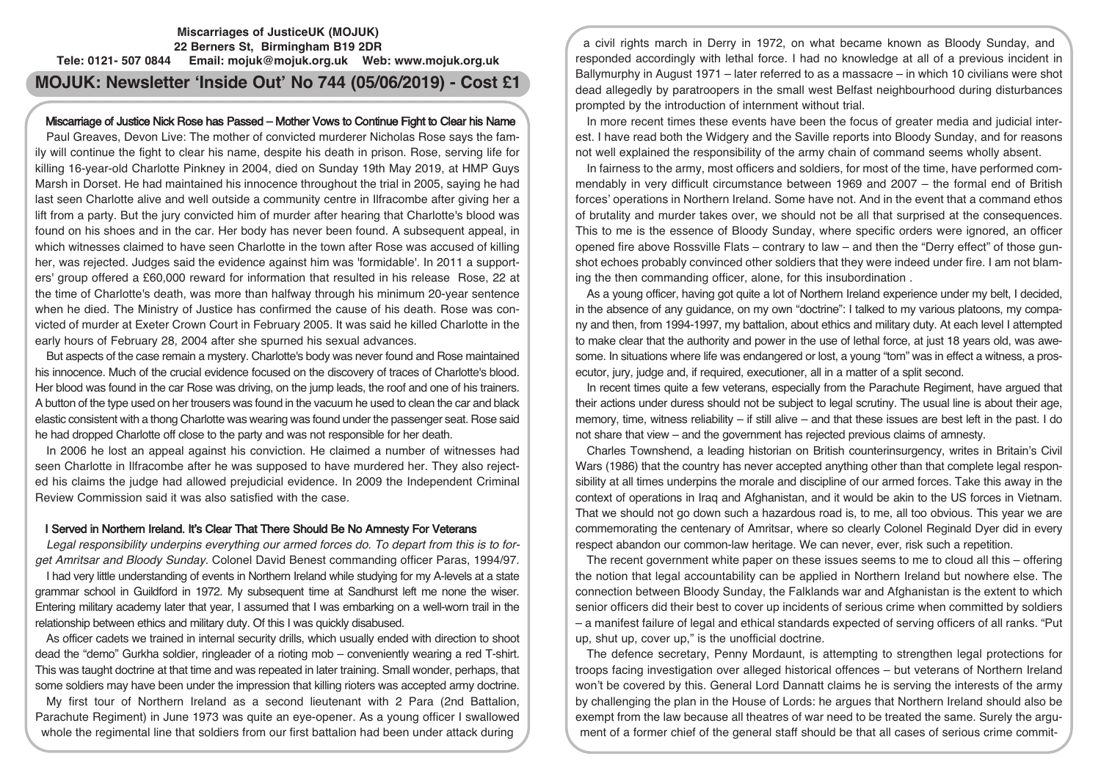## **Miscarriages of JusticeUK (MOJUK) 22 Berners St, Birmingham B19 2DR Tele: 0121- 507 0844 Email: mojuk@mojuk.org.uk Web: www.mojuk.org.uk**

# **MOJUK: Newsletter 'Inside Out' No 744 (05/06/2019) - Cost £1**

#### Miscarriage of Justice Nick Rose has Passed – Mother Vows to Continue Fight to Clear his Name

Paul Greaves, Devon Live: The mother of convicted murderer Nicholas Rose says the family will continue the fight to clear his name, despite his death in prison. Rose, serving life for killing 16-year-old Charlotte Pinkney in 2004, died on Sunday 19th May 2019, at HMP Guys Marsh in Dorset. He had maintained his innocence throughout the trial in 2005, saying he had last seen Charlotte alive and well outside a community centre in Ilfracombe after giving her a lift from a party. But the jury convicted him of murder after hearing that Charlotte's blood was found on his shoes and in the car. Her body has never been found. A subsequent appeal, in which witnesses claimed to have seen Charlotte in the town after Rose was accused of killing her, was rejected. Judges said the evidence against him was 'formidable'. In 2011 a supporters' group offered a £60,000 reward for information that resulted in his release Rose, 22 at the time of Charlotte's death, was more than halfway through his minimum 20-year sentence when he died. The Ministry of Justice has confirmed the cause of his death. Rose was convicted of murder at Exeter Crown Court in February 2005. It was said he killed Charlotte in the early hours of February 28, 2004 after she spurned his sexual advances.

But aspects of the case remain a mystery. Charlotte's body was never found and Rose maintained his innocence. Much of the crucial evidence focused on the discovery of traces of Charlotte's blood. Her blood was found in the car Rose was driving, on the jump leads, the roof and one of his trainers. A button of the type used on her trousers was found in the vacuum he used to clean the car and black elastic consistent with a thong Charlotte was wearing was found under the passenger seat. Rose said he had dropped Charlotte off close to the party and was not responsible for her death.

In 2006 he lost an appeal against his conviction. He claimed a number of witnesses had seen Charlotte in Ilfracombe after he was supposed to have murdered her. They also rejected his claims the judge had allowed prejudicial evidence. In 2009 the Independent Criminal Review Commission said it was also satisfied with the case.

### I Served in Northern Ireland. It's Clear That There Should Be No Amnesty For Veterans

Legal responsibility underpins everything our armed forces do. To depart from this is to forget Amritsar and Bloody Sunday. Colonel David Benest commanding officer Paras, 1994/97.

I had very little understanding of events in Northern Ireland while studying for my A-levels at a state grammar school in Guildford in 1972. My subsequent time at Sandhurst left me none the wiser. Entering military academy later that year, I assumed that I was embarking on a well-worn trail in the relationship between ethics and military duty. Of this I was quickly disabused.

As officer cadets we trained in internal security drills, which usually ended with direction to shoot dead the "demo" Gurkha soldier, ringleader of a rioting mob – conveniently wearing a red T-shirt. This was taught doctrine at that time and was repeated in later training. Small wonder, perhaps, that some soldiers may have been under the impression that killing rioters was accepted army doctrine.

My first tour of Northern Ireland as a second lieutenant with 2 Para (2nd Battalion, Parachute Regiment) in June 1973 was quite an eye-opener. As a young officer I swallowed whole the regimental line that soldiers from our first battalion had been under attack during

a civil rights march in Derry in 1972, on what became known as Bloody Sunday, and responded accordingly with lethal force. I had no knowledge at all of a previous incident in Ballymurphy in August 1971 – later referred to as a massacre – in which 10 civilians were shot dead allegedly by paratroopers in the small west Belfast neighbourhood during disturbances prompted by the introduction of internment without trial.

In more recent times these events have been the focus of greater media and judicial interest. I have read both the Widgery and the Saville reports into Bloody Sunday, and for reasons not well explained the responsibility of the army chain of command seems wholly absent.

In fairness to the army, most officers and soldiers, for most of the time, have performed commendably in very difficult circumstance between 1969 and 2007 – the formal end of British forces' operations in Northern Ireland. Some have not. And in the event that a command ethos of brutality and murder takes over, we should not be all that surprised at the consequences. This to me is the essence of Bloody Sunday, where specific orders were ignored, an officer opened fire above Rossville Flats – contrary to law – and then the "Derry effect" of those gunshot echoes probably convinced other soldiers that they were indeed under fire. I am not blaming the then commanding officer, alone, for this insubordination .

As a young officer, having got quite a lot of Northern Ireland experience under my belt, I decided, in the absence of any guidance, on my own "doctrine": I talked to my various platoons, my company and then, from 1994-1997, my battalion, about ethics and military duty. At each level I attempted to make clear that the authority and power in the use of lethal force, at just 18 years old, was awesome. In situations where life was endangered or lost, a young "tom" was in effect a witness, a prosecutor, jury, judge and, if required, executioner, all in a matter of a split second.

In recent times quite a few veterans, especially from the Parachute Regiment, have argued that their actions under duress should not be subject to legal scrutiny. The usual line is about their age, memory, time, witness reliability – if still alive – and that these issues are best left in the past. I do not share that view – and the government has rejected previous claims of amnesty.

Charles Townshend, a leading historian on British counterinsurgency, writes in Britain's Civil Wars (1986) that the country has never accepted anything other than that complete legal responsibility at all times underpins the morale and discipline of our armed forces. Take this away in the context of operations in Iraq and Afghanistan, and it would be akin to the US forces in Vietnam. That we should not go down such a hazardous road is, to me, all too obvious. This year we are commemorating the centenary of Amritsar, where so clearly Colonel Reginald Dyer did in every respect abandon our common-law heritage. We can never, ever, risk such a repetition.

The recent government white paper on these issues seems to me to cloud all this – offering the notion that legal accountability can be applied in Northern Ireland but nowhere else. The connection between Bloody Sunday, the Falklands war and Afghanistan is the extent to which senior officers did their best to cover up incidents of serious crime when committed by soldiers – a manifest failure of legal and ethical standards expected of serving officers of all ranks. "Put up, shut up, cover up," is the unofficial doctrine.

The defence secretary, Penny Mordaunt, is attempting to strengthen legal protections for troops facing investigation over alleged historical offences – but veterans of Northern Ireland won't be covered by this. General Lord Dannatt claims he is serving the interests of the army by challenging the plan in the House of Lords: he argues that Northern Ireland should also be exempt from the law because all theatres of war need to be treated the same. Surely the argument of a former chief of the general staff should be that all cases of serious crime commit-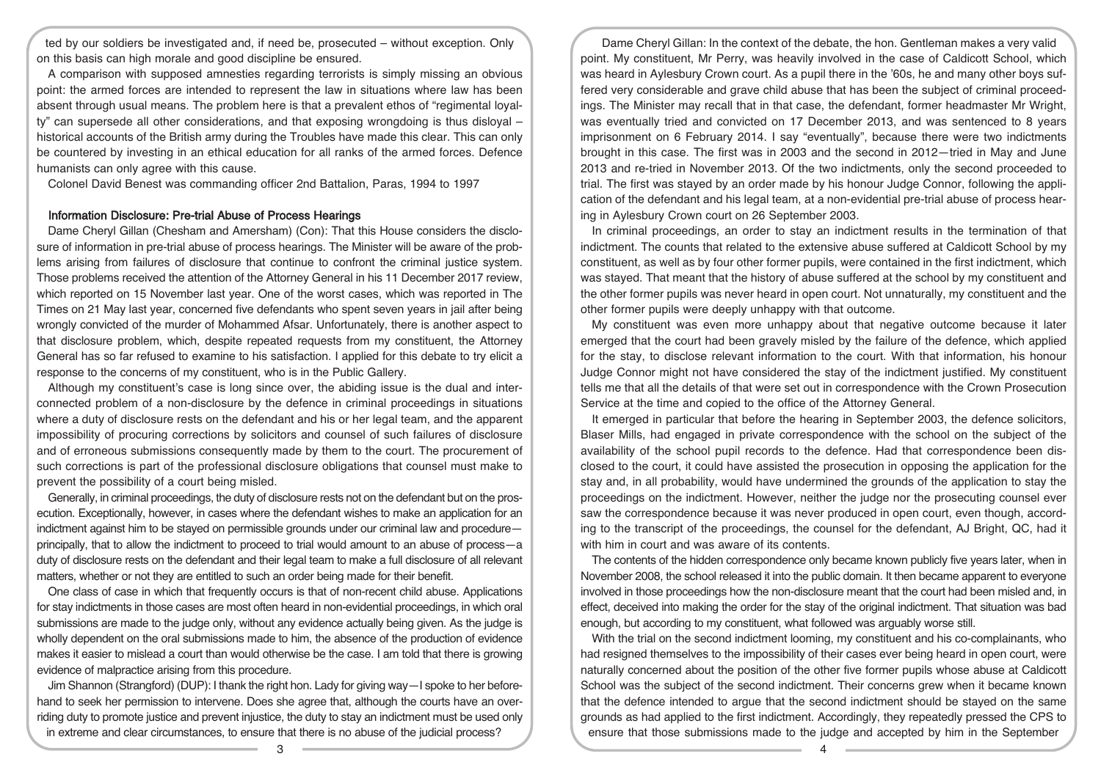ted by our soldiers be investigated and, if need be, prosecuted – without exception. Only on this basis can high morale and good discipline be ensured.

A comparison with supposed amnesties regarding terrorists is simply missing an obvious point: the armed forces are intended to represent the law in situations where law has been absent through usual means. The problem here is that a prevalent ethos of "regimental loyalty" can supersede all other considerations, and that exposing wrongdoing is thus disloyal – historical accounts of the British army during the Troubles have made this clear. This can only be countered by investing in an ethical education for all ranks of the armed forces. Defence humanists can only agree with this cause.

Colonel David Benest was commanding officer 2nd Battalion, Paras, 1994 to 1997

#### Information Disclosure: Pre-trial Abuse of Process Hearings

Dame Cheryl Gillan (Chesham and Amersham) (Con): That this House considers the disclosure of information in pre-trial abuse of process hearings. The Minister will be aware of the problems arising from failures of disclosure that continue to confront the criminal justice system. Those problems received the attention of the Attorney General in his 11 December 2017 review, which reported on 15 November last year. One of the worst cases, which was reported in The Times on 21 May last year, concerned five defendants who spent seven years in jail after being wrongly convicted of the murder of Mohammed Afsar. Unfortunately, there is another aspect to that disclosure problem, which, despite repeated requests from my constituent, the Attorney General has so far refused to examine to his satisfaction. I applied for this debate to try elicit a response to the concerns of my constituent, who is in the Public Gallery.

Although my constituent's case is long since over, the abiding issue is the dual and interconnected problem of a non-disclosure by the defence in criminal proceedings in situations where a duty of disclosure rests on the defendant and his or her legal team, and the apparent impossibility of procuring corrections by solicitors and counsel of such failures of disclosure and of erroneous submissions consequently made by them to the court. The procurement of such corrections is part of the professional disclosure obligations that counsel must make to prevent the possibility of a court being misled.

Generally, in criminal proceedings, the duty of disclosure rests not on the defendant but on the prosecution. Exceptionally, however, in cases where the defendant wishes to make an application for an indictment against him to be stayed on permissible grounds under our criminal law and procedure principally, that to allow the indictment to proceed to trial would amount to an abuse of process—a duty of disclosure rests on the defendant and their legal team to make a full disclosure of all relevant matters, whether or not they are entitled to such an order being made for their benefit.

One class of case in which that frequently occurs is that of non-recent child abuse. Applications for stay indictments in those cases are most often heard in non-evidential proceedings, in which oral submissions are made to the judge only, without any evidence actually being given. As the judge is wholly dependent on the oral submissions made to him, the absence of the production of evidence makes it easier to mislead a court than would otherwise be the case. I am told that there is growing evidence of malpractice arising from this procedure.

Jim Shannon (Strangford) (DUP): I thank the right hon. Lady for giving way—I spoke to her beforehand to seek her permission to intervene. Does she agree that, although the courts have an overriding duty to promote justice and prevent injustice, the duty to stay an indictment must be used only in extreme and clear circumstances, to ensure that there is no abuse of the judicial process?

Dame Cheryl Gillan: In the context of the debate, the hon. Gentleman makes a very valid point. My constituent, Mr Perry, was heavily involved in the case of Caldicott School, which was heard in Aylesbury Crown court. As a pupil there in the '60s, he and many other boys suffered very considerable and grave child abuse that has been the subject of criminal proceedings. The Minister may recall that in that case, the defendant, former headmaster Mr Wright, was eventually tried and convicted on 17 December 2013, and was sentenced to 8 years imprisonment on 6 February 2014. I say "eventually", because there were two indictments brought in this case. The first was in 2003 and the second in 2012—tried in May and June 2013 and re-tried in November 2013. Of the two indictments, only the second proceeded to trial. The first was stayed by an order made by his honour Judge Connor, following the application of the defendant and his legal team, at a non-evidential pre-trial abuse of process hearing in Aylesbury Crown court on 26 September 2003.

In criminal proceedings, an order to stay an indictment results in the termination of that indictment. The counts that related to the extensive abuse suffered at Caldicott School by my constituent, as well as by four other former pupils, were contained in the first indictment, which was stayed. That meant that the history of abuse suffered at the school by my constituent and the other former pupils was never heard in open court. Not unnaturally, my constituent and the other former pupils were deeply unhappy with that outcome.

My constituent was even more unhappy about that negative outcome because it later emerged that the court had been gravely misled by the failure of the defence, which applied for the stay, to disclose relevant information to the court. With that information, his honour Judge Connor might not have considered the stay of the indictment justified. My constituent tells me that all the details of that were set out in correspondence with the Crown Prosecution Service at the time and copied to the office of the Attorney General.

It emerged in particular that before the hearing in September 2003, the defence solicitors, Blaser Mills, had engaged in private correspondence with the school on the subject of the availability of the school pupil records to the defence. Had that correspondence been disclosed to the court, it could have assisted the prosecution in opposing the application for the stay and, in all probability, would have undermined the grounds of the application to stay the proceedings on the indictment. However, neither the judge nor the prosecuting counsel ever saw the correspondence because it was never produced in open court, even though, according to the transcript of the proceedings, the counsel for the defendant, AJ Bright, QC, had it with him in court and was aware of its contents.

The contents of the hidden correspondence only became known publicly five years later, when in November 2008, the school released it into the public domain. It then became apparent to everyone involved in those proceedings how the non-disclosure meant that the court had been misled and, in effect, deceived into making the order for the stay of the original indictment. That situation was bad enough, but according to my constituent, what followed was arguably worse still.

With the trial on the second indictment looming, my constituent and his co-complainants, who had resigned themselves to the impossibility of their cases ever being heard in open court, were naturally concerned about the position of the other five former pupils whose abuse at Caldicott School was the subject of the second indictment. Their concerns grew when it became known that the defence intended to argue that the second indictment should be stayed on the same grounds as had applied to the first indictment. Accordingly, they repeatedly pressed the CPS to ensure that those submissions made to the judge and accepted by him in the September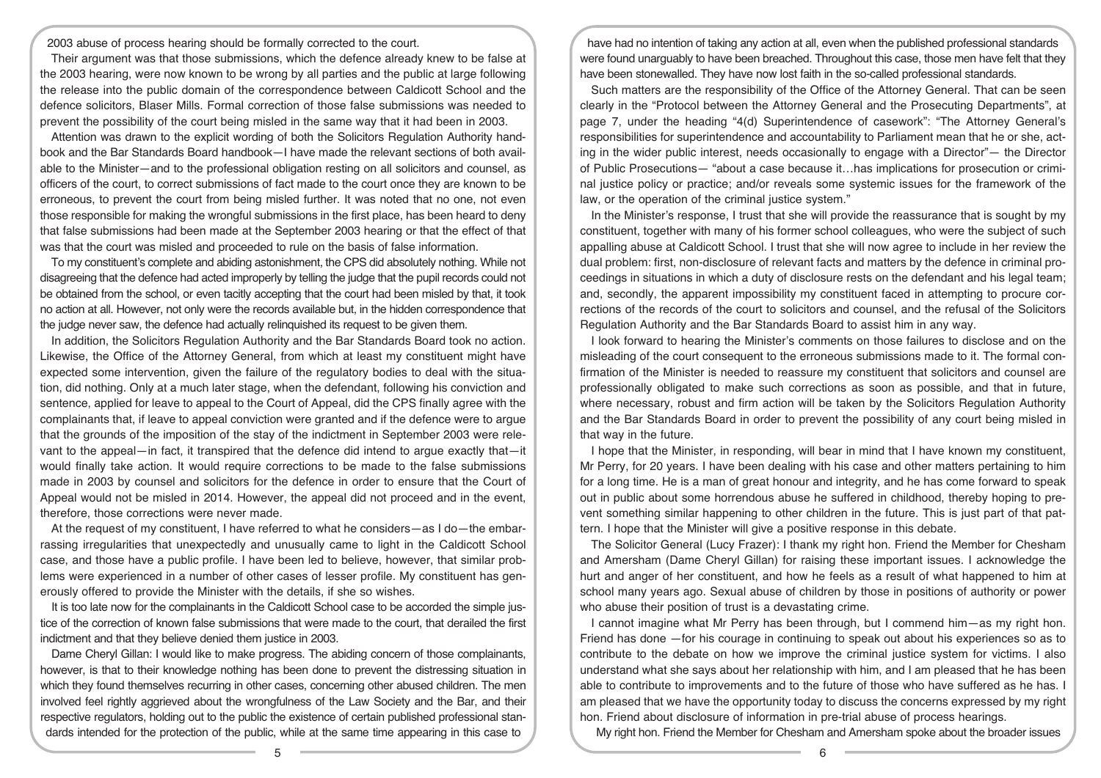2003 abuse of process hearing should be formally corrected to the court.

Their argument was that those submissions, which the defence already knew to be false at the 2003 hearing, were now known to be wrong by all parties and the public at large following the release into the public domain of the correspondence between Caldicott School and the defence solicitors, Blaser Mills. Formal correction of those false submissions was needed to prevent the possibility of the court being misled in the same way that it had been in 2003.

Attention was drawn to the explicit wording of both the Solicitors Regulation Authority handbook and the Bar Standards Board handbook—I have made the relevant sections of both available to the Minister—and to the professional obligation resting on all solicitors and counsel, as officers of the court, to correct submissions of fact made to the court once they are known to be erroneous, to prevent the court from being misled further. It was noted that no one, not even those responsible for making the wrongful submissions in the first place, has been heard to deny that false submissions had been made at the September 2003 hearing or that the effect of that was that the court was misled and proceeded to rule on the basis of false information.

To my constituent's complete and abiding astonishment, the CPS did absolutely nothing. While not disagreeing that the defence had acted improperly by telling the judge that the pupil records could not be obtained from the school, or even tacitly accepting that the court had been misled by that, it took no action at all. However, not only were the records available but, in the hidden correspondence that the judge never saw, the defence had actually relinquished its request to be given them.

In addition, the Solicitors Regulation Authority and the Bar Standards Board took no action. Likewise, the Office of the Attorney General, from which at least my constituent might have expected some intervention, given the failure of the regulatory bodies to deal with the situation, did nothing. Only at a much later stage, when the defendant, following his conviction and sentence, applied for leave to appeal to the Court of Appeal, did the CPS finally agree with the complainants that, if leave to appeal conviction were granted and if the defence were to argue that the grounds of the imposition of the stay of the indictment in September 2003 were relevant to the appeal—in fact, it transpired that the defence did intend to argue exactly that—it would finally take action. It would require corrections to be made to the false submissions made in 2003 by counsel and solicitors for the defence in order to ensure that the Court of Appeal would not be misled in 2014. However, the appeal did not proceed and in the event, therefore, those corrections were never made.

At the request of my constituent, I have referred to what he considers—as I do—the embarrassing irregularities that unexpectedly and unusually came to light in the Caldicott School case, and those have a public profile. I have been led to believe, however, that similar problems were experienced in a number of other cases of lesser profile. My constituent has generously offered to provide the Minister with the details, if she so wishes.

It is too late now for the complainants in the Caldicott School case to be accorded the simple justice of the correction of known false submissions that were made to the court, that derailed the first indictment and that they believe denied them justice in 2003.

Dame Cheryl Gillan: I would like to make progress. The abiding concern of those complainants, however, is that to their knowledge nothing has been done to prevent the distressing situation in which they found themselves recurring in other cases, concerning other abused children. The men involved feel rightly aggrieved about the wrongfulness of the Law Society and the Bar, and their respective regulators, holding out to the public the existence of certain published professional standards intended for the protection of the public, while at the same time appearing in this case to

have had no intention of taking any action at all, even when the published professional standards were found unarguably to have been breached. Throughout this case, those men have felt that they have been stonewalled. They have now lost faith in the so-called professional standards.

Such matters are the responsibility of the Office of the Attorney General. That can be seen clearly in the "Protocol between the Attorney General and the Prosecuting Departments", at page 7, under the heading "4(d) Superintendence of casework": "The Attorney General's responsibilities for superintendence and accountability to Parliament mean that he or she, acting in the wider public interest, needs occasionally to engage with a Director"— the Director of Public Prosecutions— "about a case because it…has implications for prosecution or criminal justice policy or practice; and/or reveals some systemic issues for the framework of the law, or the operation of the criminal justice system."

In the Minister's response, I trust that she will provide the reassurance that is sought by my constituent, together with many of his former school colleagues, who were the subject of such appalling abuse at Caldicott School. I trust that she will now agree to include in her review the dual problem: first, non-disclosure of relevant facts and matters by the defence in criminal proceedings in situations in which a duty of disclosure rests on the defendant and his legal team; and, secondly, the apparent impossibility my constituent faced in attempting to procure corrections of the records of the court to solicitors and counsel, and the refusal of the Solicitors Regulation Authority and the Bar Standards Board to assist him in any way.

I look forward to hearing the Minister's comments on those failures to disclose and on the misleading of the court consequent to the erroneous submissions made to it. The formal confirmation of the Minister is needed to reassure my constituent that solicitors and counsel are professionally obligated to make such corrections as soon as possible, and that in future, where necessary, robust and firm action will be taken by the Solicitors Regulation Authority and the Bar Standards Board in order to prevent the possibility of any court being misled in that way in the future.

I hope that the Minister, in responding, will bear in mind that I have known my constituent, Mr Perry, for 20 years. I have been dealing with his case and other matters pertaining to him for a long time. He is a man of great honour and integrity, and he has come forward to speak out in public about some horrendous abuse he suffered in childhood, thereby hoping to prevent something similar happening to other children in the future. This is just part of that pattern. I hope that the Minister will give a positive response in this debate.

The Solicitor General (Lucy Frazer): I thank my right hon. Friend the Member for Chesham and Amersham (Dame Cheryl Gillan) for raising these important issues. I acknowledge the hurt and anger of her constituent, and how he feels as a result of what happened to him at school many years ago. Sexual abuse of children by those in positions of authority or power who abuse their position of trust is a devastating crime.

I cannot imagine what Mr Perry has been through, but I commend him—as my right hon. Friend has done —for his courage in continuing to speak out about his experiences so as to contribute to the debate on how we improve the criminal justice system for victims. I also understand what she says about her relationship with him, and I am pleased that he has been able to contribute to improvements and to the future of those who have suffered as he has. I am pleased that we have the opportunity today to discuss the concerns expressed by my right hon. Friend about disclosure of information in pre-trial abuse of process hearings.

My right hon. Friend the Member for Chesham and Amersham spoke about the broader issues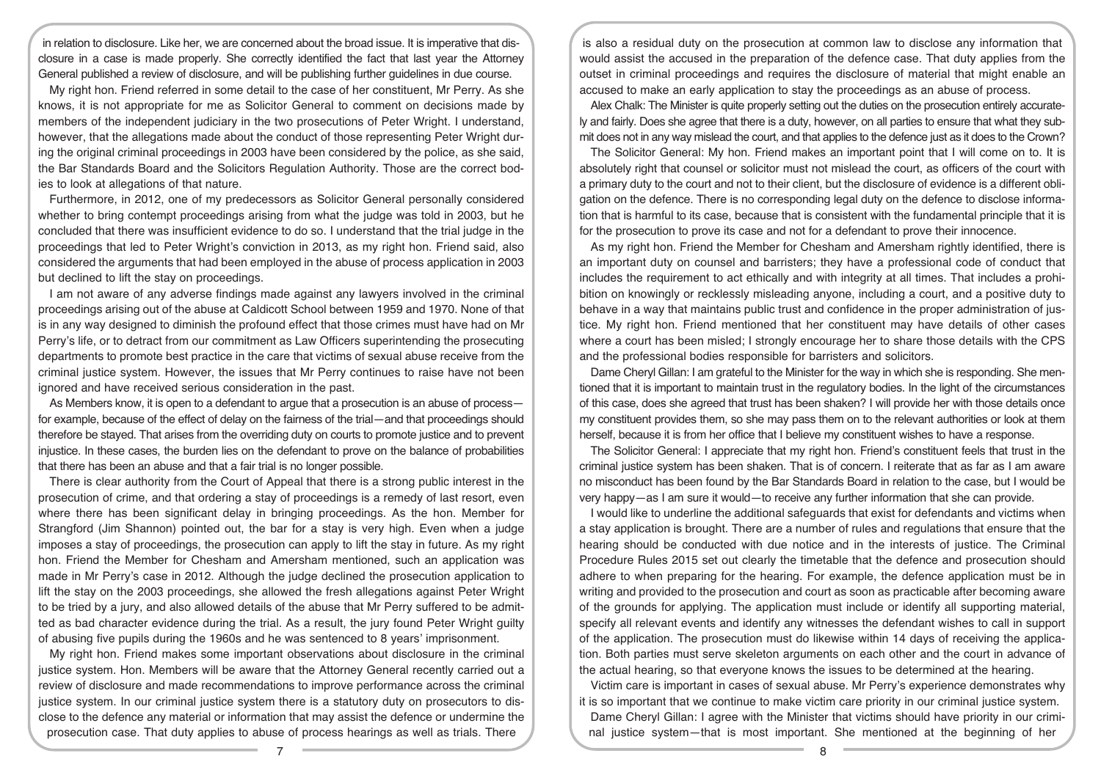in relation to disclosure. Like her, we are concerned about the broad issue. It is imperative that disclosure in a case is made properly. She correctly identified the fact that last year the Attorney General published a review of disclosure, and will be publishing further guidelines in due course.

My right hon. Friend referred in some detail to the case of her constituent, Mr Perry. As she knows, it is not appropriate for me as Solicitor General to comment on decisions made by members of the independent judiciary in the two prosecutions of Peter Wright. I understand, however, that the allegations made about the conduct of those representing Peter Wright during the original criminal proceedings in 2003 have been considered by the police, as she said, the Bar Standards Board and the Solicitors Regulation Authority. Those are the correct bodies to look at allegations of that nature.

Furthermore, in 2012, one of my predecessors as Solicitor General personally considered whether to bring contempt proceedings arising from what the judge was told in 2003, but he concluded that there was insufficient evidence to do so. I understand that the trial judge in the proceedings that led to Peter Wright's conviction in 2013, as my right hon. Friend said, also considered the arguments that had been employed in the abuse of process application in 2003 but declined to lift the stay on proceedings.

I am not aware of any adverse findings made against any lawyers involved in the criminal proceedings arising out of the abuse at Caldicott School between 1959 and 1970. None of that is in any way designed to diminish the profound effect that those crimes must have had on Mr Perry's life, or to detract from our commitment as Law Officers superintending the prosecuting departments to promote best practice in the care that victims of sexual abuse receive from the criminal justice system. However, the issues that Mr Perry continues to raise have not been ignored and have received serious consideration in the past.

As Members know, it is open to a defendant to argue that a prosecution is an abuse of process for example, because of the effect of delay on the fairness of the trial—and that proceedings should therefore be stayed. That arises from the overriding duty on courts to promote justice and to prevent injustice. In these cases, the burden lies on the defendant to prove on the balance of probabilities that there has been an abuse and that a fair trial is no longer possible.

There is clear authority from the Court of Appeal that there is a strong public interest in the prosecution of crime, and that ordering a stay of proceedings is a remedy of last resort, even where there has been significant delay in bringing proceedings. As the hon. Member for Strangford (Jim Shannon) pointed out, the bar for a stay is very high. Even when a judge imposes a stay of proceedings, the prosecution can apply to lift the stay in future. As my right hon. Friend the Member for Chesham and Amersham mentioned, such an application was made in Mr Perry's case in 2012. Although the judge declined the prosecution application to lift the stay on the 2003 proceedings, she allowed the fresh allegations against Peter Wright to be tried by a jury, and also allowed details of the abuse that Mr Perry suffered to be admitted as bad character evidence during the trial. As a result, the jury found Peter Wright guilty of abusing five pupils during the 1960s and he was sentenced to 8 years' imprisonment.

My right hon. Friend makes some important observations about disclosure in the criminal justice system. Hon. Members will be aware that the Attorney General recently carried out a review of disclosure and made recommendations to improve performance across the criminal justice system. In our criminal justice system there is a statutory duty on prosecutors to disclose to the defence any material or information that may assist the defence or undermine the prosecution case. That duty applies to abuse of process hearings as well as trials. There

is also a residual duty on the prosecution at common law to disclose any information that would assist the accused in the preparation of the defence case. That duty applies from the outset in criminal proceedings and requires the disclosure of material that might enable an accused to make an early application to stay the proceedings as an abuse of process.

Alex Chalk: The Minister is quite properly setting out the duties on the prosecution entirely accurately and fairly. Does she agree that there is a duty, however, on all parties to ensure that what they submit does not in any way mislead the court, and that applies to the defence just as it does to the Crown?

The Solicitor General: My hon. Friend makes an important point that I will come on to. It is absolutely right that counsel or solicitor must not mislead the court, as officers of the court with a primary duty to the court and not to their client, but the disclosure of evidence is a different obligation on the defence. There is no corresponding legal duty on the defence to disclose information that is harmful to its case, because that is consistent with the fundamental principle that it is for the prosecution to prove its case and not for a defendant to prove their innocence.

As my right hon. Friend the Member for Chesham and Amersham rightly identified, there is an important duty on counsel and barristers; they have a professional code of conduct that includes the requirement to act ethically and with integrity at all times. That includes a prohibition on knowingly or recklessly misleading anyone, including a court, and a positive duty to behave in a way that maintains public trust and confidence in the proper administration of justice. My right hon. Friend mentioned that her constituent may have details of other cases where a court has been misled; I strongly encourage her to share those details with the CPS and the professional bodies responsible for barristers and solicitors.

Dame Cheryl Gillan: I am grateful to the Minister for the way in which she is responding. She mentioned that it is important to maintain trust in the regulatory bodies. In the light of the circumstances of this case, does she agreed that trust has been shaken? I will provide her with those details once my constituent provides them, so she may pass them on to the relevant authorities or look at them herself, because it is from her office that I believe my constituent wishes to have a response.

The Solicitor General: I appreciate that my right hon. Friend's constituent feels that trust in the criminal justice system has been shaken. That is of concern. I reiterate that as far as I am aware no misconduct has been found by the Bar Standards Board in relation to the case, but I would be very happy—as I am sure it would—to receive any further information that she can provide.

I would like to underline the additional safeguards that exist for defendants and victims when a stay application is brought. There are a number of rules and regulations that ensure that the hearing should be conducted with due notice and in the interests of justice. The Criminal Procedure Rules 2015 set out clearly the timetable that the defence and prosecution should adhere to when preparing for the hearing. For example, the defence application must be in writing and provided to the prosecution and court as soon as practicable after becoming aware of the grounds for applying. The application must include or identify all supporting material, specify all relevant events and identify any witnesses the defendant wishes to call in support of the application. The prosecution must do likewise within 14 days of receiving the application. Both parties must serve skeleton arguments on each other and the court in advance of the actual hearing, so that everyone knows the issues to be determined at the hearing.

Victim care is important in cases of sexual abuse. Mr Perry's experience demonstrates why it is so important that we continue to make victim care priority in our criminal justice system. Dame Cheryl Gillan: I agree with the Minister that victims should have priority in our criminal justice system—that is most important. She mentioned at the beginning of her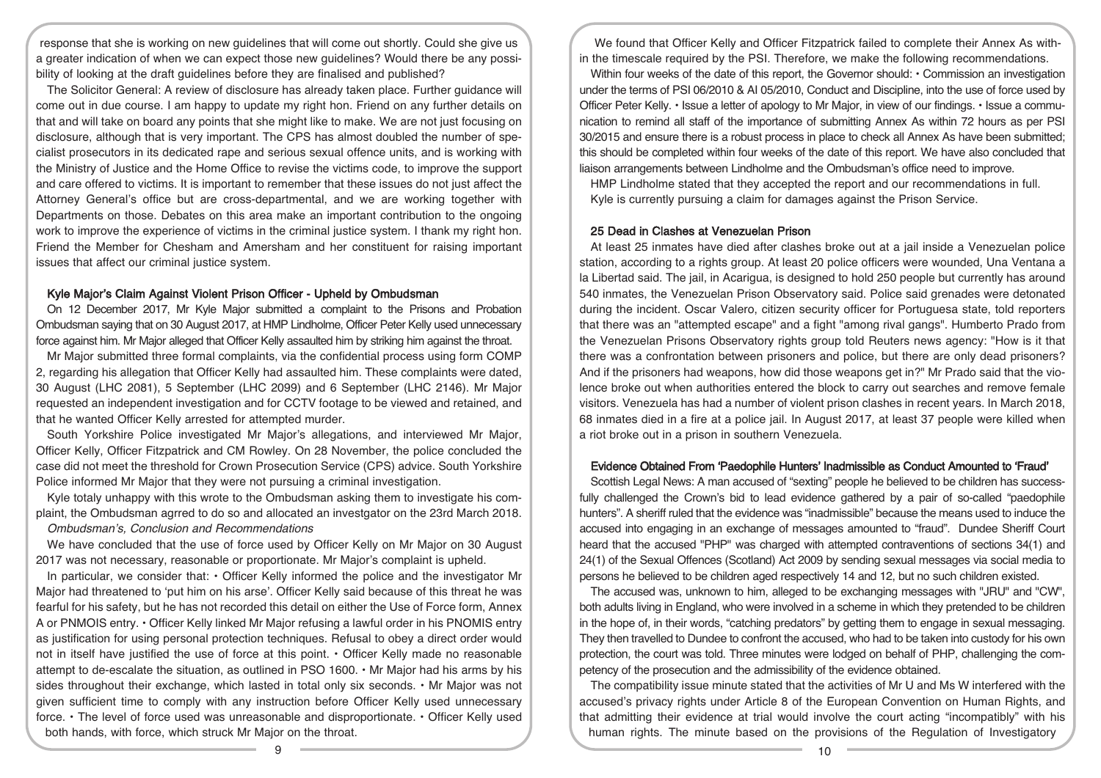response that she is working on new guidelines that will come out shortly. Could she give us a greater indication of when we can expect those new guidelines? Would there be any possibility of looking at the draft guidelines before they are finalised and published?

The Solicitor General: A review of disclosure has already taken place. Further guidance will come out in due course. I am happy to update my right hon. Friend on any further details on that and will take on board any points that she might like to make. We are not just focusing on disclosure, although that is very important. The CPS has almost doubled the number of specialist prosecutors in its dedicated rape and serious sexual offence units, and is working with the Ministry of Justice and the Home Office to revise the victims code, to improve the support and care offered to victims. It is important to remember that these issues do not just affect the Attorney General's office but are cross-departmental, and we are working together with Departments on those. Debates on this area make an important contribution to the ongoing work to improve the experience of victims in the criminal justice system. I thank my right hon. Friend the Member for Chesham and Amersham and her constituent for raising important issues that affect our criminal justice system.

#### Kyle Major's Claim Against Violent Prison Officer - Upheld by Ombudsman

On 12 December 2017, Mr Kyle Major submitted a complaint to the Prisons and Probation Ombudsman saying that on 30 August 2017, at HMP Lindholme, Officer Peter Kelly used unnecessary force against him. Mr Major alleged that Officer Kelly assaulted him by striking him against the throat.

Mr Major submitted three formal complaints, via the confidential process using form COMP 2, regarding his allegation that Officer Kelly had assaulted him. These complaints were dated, 30 August (LHC 2081), 5 September (LHC 2099) and 6 September (LHC 2146). Mr Major requested an independent investigation and for CCTV footage to be viewed and retained, and that he wanted Officer Kelly arrested for attempted murder.

South Yorkshire Police investigated Mr Major's allegations, and interviewed Mr Major, Officer Kelly, Officer Fitzpatrick and CM Rowley. On 28 November, the police concluded the case did not meet the threshold for Crown Prosecution Service (CPS) advice. South Yorkshire Police informed Mr Major that they were not pursuing a criminal investigation.

Kyle totaly unhappy with this wrote to the Ombudsman asking them to investigate his complaint, the Ombudsman agrred to do so and allocated an investgator on the 23rd March 2018.

Ombudsman's, Conclusion and Recommendations

We have concluded that the use of force used by Officer Kelly on Mr Major on 30 August 2017 was not necessary, reasonable or proportionate. Mr Major's complaint is upheld.

In particular, we consider that:  $\cdot$  Officer Kelly informed the police and the investigator Mr Major had threatened to 'put him on his arse'. Officer Kelly said because of this threat he was fearful for his safety, but he has not recorded this detail on either the Use of Force form, Annex A or PNMOIS entry. • Officer Kelly linked Mr Major refusing a lawful order in his PNOMIS entry as justification for using personal protection techniques. Refusal to obey a direct order would not in itself have justified the use of force at this point. • Officer Kelly made no reasonable attempt to de-escalate the situation, as outlined in PSO 1600. • Mr Major had his arms by his sides throughout their exchange, which lasted in total only six seconds. • Mr Major was not given sufficient time to comply with any instruction before Officer Kelly used unnecessary force. • The level of force used was unreasonable and disproportionate. • Officer Kelly used both hands, with force, which struck Mr Major on the throat.

We found that Officer Kelly and Officer Fitzpatrick failed to complete their Annex As within the timescale required by the PSI. Therefore, we make the following recommendations.

Within four weeks of the date of this report, the Governor should: • Commission an investigation under the terms of PSI 06/2010 & AI 05/2010, Conduct and Discipline, into the use of force used by Officer Peter Kelly. • Issue a letter of apology to Mr Major, in view of our findings. • Issue a communication to remind all staff of the importance of submitting Annex As within 72 hours as per PSI 30/2015 and ensure there is a robust process in place to check all Annex As have been submitted; this should be completed within four weeks of the date of this report. We have also concluded that liaison arrangements between Lindholme and the Ombudsman's office need to improve.

HMP Lindholme stated that they accepted the report and our recommendations in full. Kyle is currently pursuing a claim for damages against the Prison Service.

## 25 Dead in Clashes at Venezuelan Prison

At least 25 inmates have died after clashes broke out at a jail inside a Venezuelan police station, according to a rights group. At least 20 police officers were wounded, Una Ventana a la Libertad said. The jail, in Acarigua, is designed to hold 250 people but currently has around 540 inmates, the Venezuelan Prison Observatory said. Police said grenades were detonated during the incident. Oscar Valero, citizen security officer for Portuguesa state, told reporters that there was an "attempted escape" and a fight "among rival gangs". Humberto Prado from the Venezuelan Prisons Observatory rights group told Reuters news agency: "How is it that there was a confrontation between prisoners and police, but there are only dead prisoners? And if the prisoners had weapons, how did those weapons get in?" Mr Prado said that the violence broke out when authorities entered the block to carry out searches and remove female visitors. Venezuela has had a number of violent prison clashes in recent years. In March 2018, 68 inmates died in a fire at a police jail. In August 2017, at least 37 people were killed when a riot broke out in a prison in southern Venezuela.

## Evidence Obtained From 'Paedophile Hunters' Inadmissible as Conduct Amounted to 'Fraud'

Scottish Legal News: A man accused of "sexting" people he believed to be children has successfully challenged the Crown's bid to lead evidence gathered by a pair of so-called "paedophile hunters". A sheriff ruled that the evidence was "inadmissible" because the means used to induce the accused into engaging in an exchange of messages amounted to "fraud". Dundee Sheriff Court heard that the accused "PHP" was charged with attempted contraventions of sections 34(1) and 24(1) of the Sexual Offences (Scotland) Act 2009 by sending sexual messages via social media to persons he believed to be children aged respectively 14 and 12, but no such children existed.

The accused was, unknown to him, alleged to be exchanging messages with "JRU" and "CW", both adults living in England, who were involved in a scheme in which they pretended to be children in the hope of, in their words, "catching predators" by getting them to engage in sexual messaging. They then travelled to Dundee to confront the accused, who had to be taken into custody for his own protection, the court was told. Three minutes were lodged on behalf of PHP, challenging the competency of the prosecution and the admissibility of the evidence obtained.

The compatibility issue minute stated that the activities of Mr U and Ms W interfered with the accused's privacy rights under Article 8 of the European Convention on Human Rights, and that admitting their evidence at trial would involve the court acting "incompatibly" with his human rights. The minute based on the provisions of the Regulation of Investigatory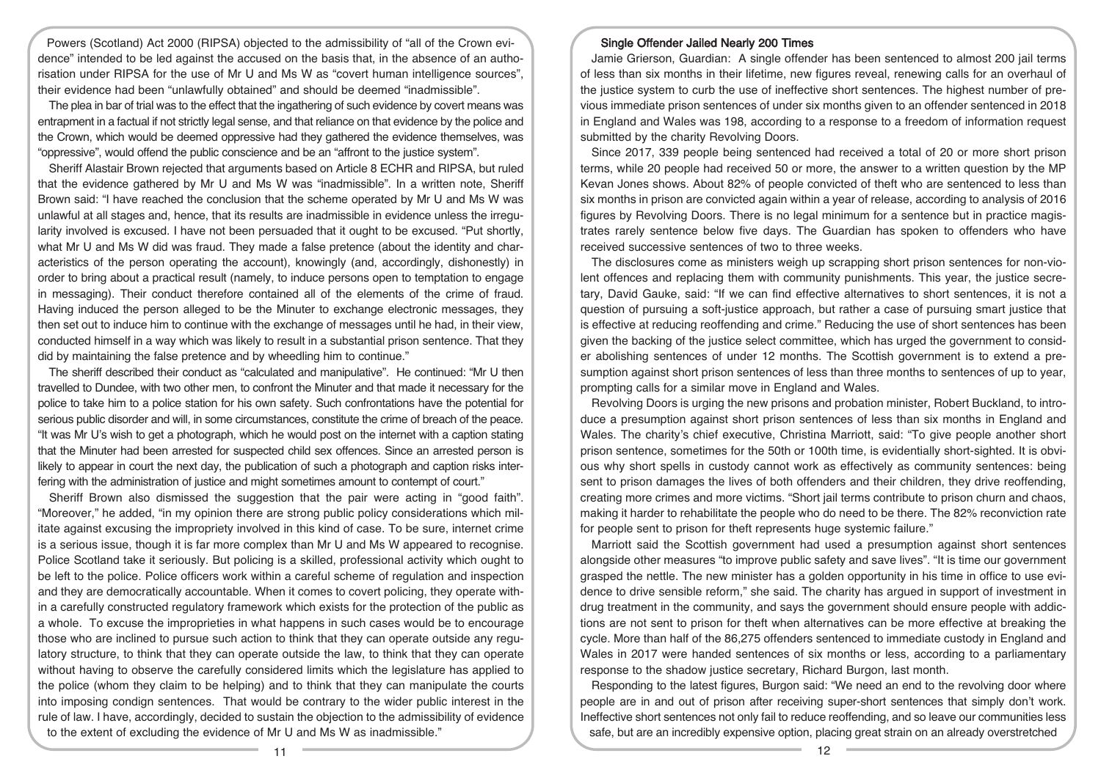Powers (Scotland) Act 2000 (RIPSA) objected to the admissibility of "all of the Crown evidence" intended to be led against the accused on the basis that, in the absence of an authorisation under RIPSA for the use of Mr U and Ms W as "covert human intelligence sources", their evidence had been "unlawfully obtained" and should be deemed "inadmissible".

The plea in bar of trial was to the effect that the ingathering of such evidence by covert means was entrapment in a factual if not strictly legal sense, and that reliance on that evidence by the police and the Crown, which would be deemed oppressive had they gathered the evidence themselves, was "oppressive", would offend the public conscience and be an "affront to the justice system".

Sheriff Alastair Brown rejected that arguments based on Article 8 ECHR and RIPSA, but ruled that the evidence gathered by Mr U and Ms W was "inadmissible". In a written note, Sheriff Brown said: "I have reached the conclusion that the scheme operated by Mr U and Ms W was unlawful at all stages and, hence, that its results are inadmissible in evidence unless the irregularity involved is excused. I have not been persuaded that it ought to be excused. "Put shortly, what Mr U and Ms W did was fraud. They made a false pretence (about the identity and characteristics of the person operating the account), knowingly (and, accordingly, dishonestly) in order to bring about a practical result (namely, to induce persons open to temptation to engage in messaging). Their conduct therefore contained all of the elements of the crime of fraud. Having induced the person alleged to be the Minuter to exchange electronic messages, they then set out to induce him to continue with the exchange of messages until he had, in their view, conducted himself in a way which was likely to result in a substantial prison sentence. That they did by maintaining the false pretence and by wheedling him to continue."

The sheriff described their conduct as "calculated and manipulative". He continued: "Mr U then travelled to Dundee, with two other men, to confront the Minuter and that made it necessary for the police to take him to a police station for his own safety. Such confrontations have the potential for serious public disorder and will, in some circumstances, constitute the crime of breach of the peace. "It was Mr U's wish to get a photograph, which he would post on the internet with a caption stating that the Minuter had been arrested for suspected child sex offences. Since an arrested person is likely to appear in court the next day, the publication of such a photograph and caption risks interfering with the administration of justice and might sometimes amount to contempt of court."

Sheriff Brown also dismissed the suggestion that the pair were acting in "good faith". "Moreover," he added, "in my opinion there are strong public policy considerations which militate against excusing the impropriety involved in this kind of case. To be sure, internet crime is a serious issue, though it is far more complex than Mr U and Ms W appeared to recognise. Police Scotland take it seriously. But policing is a skilled, professional activity which ought to be left to the police. Police officers work within a careful scheme of regulation and inspection and they are democratically accountable. When it comes to covert policing, they operate within a carefully constructed regulatory framework which exists for the protection of the public as a whole. To excuse the improprieties in what happens in such cases would be to encourage those who are inclined to pursue such action to think that they can operate outside any regulatory structure, to think that they can operate outside the law, to think that they can operate without having to observe the carefully considered limits which the legislature has applied to the police (whom they claim to be helping) and to think that they can manipulate the courts into imposing condign sentences. That would be contrary to the wider public interest in the rule of law. I have, accordingly, decided to sustain the objection to the admissibility of evidence to the extent of excluding the evidence of Mr U and Ms W as inadmissible."

### Single Offender Jailed Nearly 200 Times

Jamie Grierson, Guardian: A single offender has been sentenced to almost 200 jail terms of less than six months in their lifetime, new figures reveal, renewing calls for an overhaul of the justice system to curb the use of ineffective short sentences. The highest number of previous immediate prison sentences of under six months given to an offender sentenced in 2018 in England and Wales was 198, according to a response to a freedom of information request submitted by the charity Revolving Doors.

Since 2017, 339 people being sentenced had received a total of 20 or more short prison terms, while 20 people had received 50 or more, the answer to a written question by the MP Kevan Jones shows. About 82% of people convicted of theft who are sentenced to less than six months in prison are convicted again within a year of release, according to analysis of 2016 figures by Revolving Doors. There is no legal minimum for a sentence but in practice magistrates rarely sentence below five days. The Guardian has spoken to offenders who have received successive sentences of two to three weeks.

The disclosures come as ministers weigh up scrapping short prison sentences for non-violent offences and replacing them with community punishments. This year, the justice secretary, David Gauke, said: "If we can find effective alternatives to short sentences, it is not a question of pursuing a soft-justice approach, but rather a case of pursuing smart justice that is effective at reducing reoffending and crime." Reducing the use of short sentences has been given the backing of the justice select committee, which has urged the government to consider abolishing sentences of under 12 months. The Scottish government is to extend a presumption against short prison sentences of less than three months to sentences of up to year, prompting calls for a similar move in England and Wales.

Revolving Doors is urging the new prisons and probation minister, Robert Buckland, to introduce a presumption against short prison sentences of less than six months in England and Wales. The charity's chief executive, Christina Marriott, said: "To give people another short prison sentence, sometimes for the 50th or 100th time, is evidentially short-sighted. It is obvious why short spells in custody cannot work as effectively as community sentences: being sent to prison damages the lives of both offenders and their children, they drive reoffending, creating more crimes and more victims. "Short jail terms contribute to prison churn and chaos, making it harder to rehabilitate the people who do need to be there. The 82% reconviction rate for people sent to prison for theft represents huge systemic failure."

Marriott said the Scottish government had used a presumption against short sentences alongside other measures "to improve public safety and save lives". "It is time our government grasped the nettle. The new minister has a golden opportunity in his time in office to use evidence to drive sensible reform," she said. The charity has argued in support of investment in drug treatment in the community, and says the government should ensure people with addictions are not sent to prison for theft when alternatives can be more effective at breaking the cycle. More than half of the 86,275 offenders sentenced to immediate custody in England and Wales in 2017 were handed sentences of six months or less, according to a parliamentary response to the shadow justice secretary, Richard Burgon, last month.

Responding to the latest figures, Burgon said: "We need an end to the revolving door where people are in and out of prison after receiving super-short sentences that simply don't work. Ineffective short sentences not only fail to reduce reoffending, and so leave our communities less safe, but are an incredibly expensive option, placing great strain on an already overstretched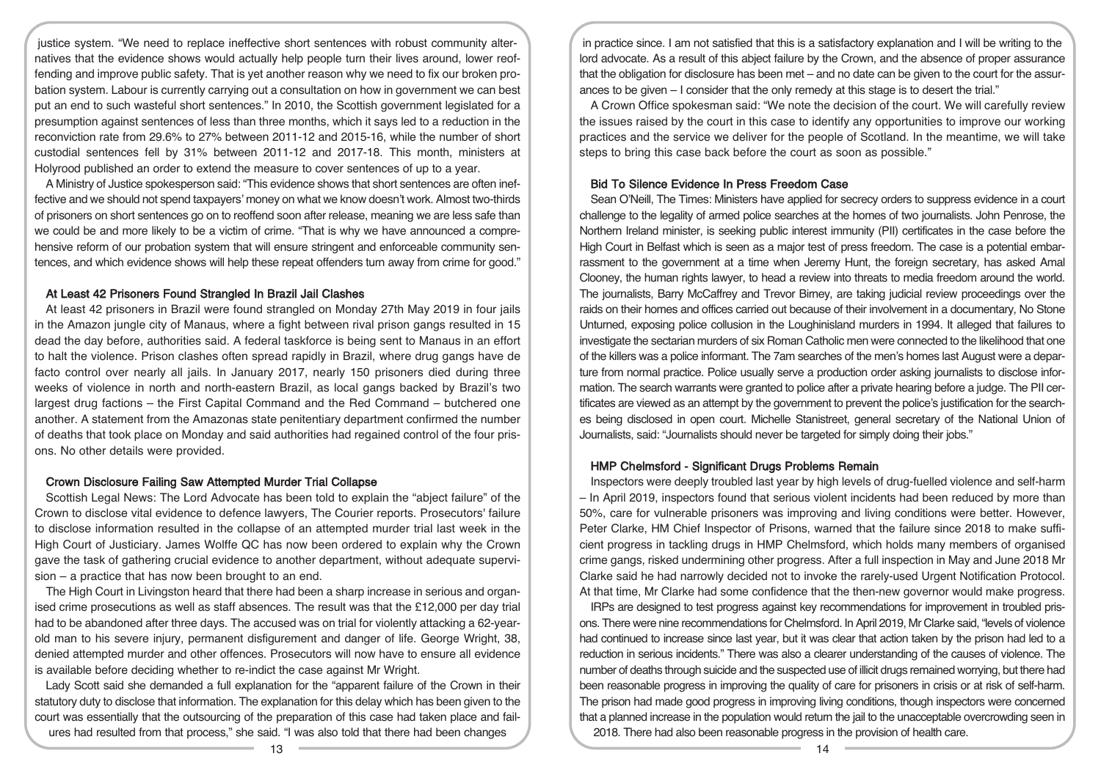justice system. "We need to replace ineffective short sentences with robust community alternatives that the evidence shows would actually help people turn their lives around, lower reoffending and improve public safety. That is yet another reason why we need to fix our broken probation system. Labour is currently carrying out a consultation on how in government we can best put an end to such wasteful short sentences." In 2010, the Scottish government legislated for a presumption against sentences of less than three months, which it says led to a reduction in the reconviction rate from 29.6% to 27% between 2011-12 and 2015-16, while the number of short custodial sentences fell by 31% between 2011-12 and 2017-18. This month, ministers at Holyrood published an order to extend the measure to cover sentences of up to a year.

A Ministry of Justice spokesperson said: "This evidence shows that short sentences are often ineffective and we should not spend taxpayers' money on what we know doesn't work. Almost two-thirds of prisoners on short sentences go on to reoffend soon after release, meaning we are less safe than we could be and more likely to be a victim of crime. "That is why we have announced a comprehensive reform of our probation system that will ensure stringent and enforceable community sentences, and which evidence shows will help these repeat offenders turn away from crime for good."

#### At Least 42 Prisoners Found Strangled In Brazil Jail Clashes

At least 42 prisoners in Brazil were found strangled on Monday 27th May 2019 in four jails in the Amazon jungle city of Manaus, where a fight between rival prison gangs resulted in 15 dead the day before, authorities said. A federal taskforce is being sent to Manaus in an effort to halt the violence. Prison clashes often spread rapidly in Brazil, where drug gangs have de facto control over nearly all jails. In January 2017, nearly 150 prisoners died during three weeks of violence in north and north-eastern Brazil, as local gangs backed by Brazil's two largest drug factions – the First Capital Command and the Red Command – butchered one another. A statement from the Amazonas state penitentiary department confirmed the number of deaths that took place on Monday and said authorities had regained control of the four prisons. No other details were provided.

#### Crown Disclosure Failing Saw Attempted Murder Trial Collapse

Scottish Legal News: The Lord Advocate has been told to explain the "abject failure" of the Crown to disclose vital evidence to defence lawyers, The Courier reports. Prosecutors' failure to disclose information resulted in the collapse of an attempted murder trial last week in the High Court of Justiciary. James Wolffe QC has now been ordered to explain why the Crown gave the task of gathering crucial evidence to another department, without adequate supervision – a practice that has now been brought to an end.

The High Court in Livingston heard that there had been a sharp increase in serious and organised crime prosecutions as well as staff absences. The result was that the £12,000 per day trial had to be abandoned after three days. The accused was on trial for violently attacking a 62-yearold man to his severe injury, permanent disfigurement and danger of life. George Wright, 38, denied attempted murder and other offences. Prosecutors will now have to ensure all evidence is available before deciding whether to re-indict the case against Mr Wright.

Lady Scott said she demanded a full explanation for the "apparent failure of the Crown in their statutory duty to disclose that information. The explanation for this delay which has been given to the court was essentially that the outsourcing of the preparation of this case had taken place and failures had resulted from that process," she said. "I was also told that there had been changes

in practice since. I am not satisfied that this is a satisfactory explanation and I will be writing to the lord advocate. As a result of this abject failure by the Crown, and the absence of proper assurance that the obligation for disclosure has been met – and no date can be given to the court for the assurances to be given – I consider that the only remedy at this stage is to desert the trial."

A Crown Office spokesman said: "We note the decision of the court. We will carefully review the issues raised by the court in this case to identify any opportunities to improve our working practices and the service we deliver for the people of Scotland. In the meantime, we will take steps to bring this case back before the court as soon as possible."

#### Bid To Silence Evidence In Press Freedom Case

Sean O'Neill, The Times: Ministers have applied for secrecy orders to suppress evidence in a court challenge to the legality of armed police searches at the homes of two journalists. John Penrose, the Northern Ireland minister, is seeking public interest immunity (PII) certificates in the case before the High Court in Belfast which is seen as a major test of press freedom. The case is a potential embarrassment to the government at a time when Jeremy Hunt, the foreign secretary, has asked Amal Clooney, the human rights lawyer, to head a review into threats to media freedom around the world. The journalists, Barry McCaffrey and Trevor Birney, are taking judicial review proceedings over the raids on their homes and offices carried out because of their involvement in a documentary, No Stone Unturned, exposing police collusion in the Loughinisland murders in 1994. It alleged that failures to investigate the sectarian murders of six Roman Catholic men were connected to the likelihood that one of the killers was a police informant. The 7am searches of the men's homes last August were a departure from normal practice. Police usually serve a production order asking journalists to disclose information. The search warrants were granted to police after a private hearing before a judge. The PII certificates are viewed as an attempt by the government to prevent the police's justification for the searches being disclosed in open court. Michelle Stanistreet, general secretary of the National Union of Journalists, said: "Journalists should never be targeted for simply doing their jobs."

### HMP Chelmsford - Significant Drugs Problems Remain

Inspectors were deeply troubled last year by high levels of drug-fuelled violence and self-harm – In April 2019, inspectors found that serious violent incidents had been reduced by more than 50%, care for vulnerable prisoners was improving and living conditions were better. However, Peter Clarke, HM Chief Inspector of Prisons, warned that the failure since 2018 to make sufficient progress in tackling drugs in HMP Chelmsford, which holds many members of organised crime gangs, risked undermining other progress. After a full inspection in May and June 2018 Mr Clarke said he had narrowly decided not to invoke the rarely-used Urgent Notification Protocol. At that time, Mr Clarke had some confidence that the then-new governor would make progress.

IRPs are designed to test progress against key recommendations for improvement in troubled prisons. There were nine recommendations for Chelmsford. In April 2019, Mr Clarke said, "levels of violence had continued to increase since last year, but it was clear that action taken by the prison had led to a reduction in serious incidents." There was also a clearer understanding of the causes of violence. The number of deaths through suicide and the suspected use of illicit drugs remained worrying, but there had been reasonable progress in improving the quality of care for prisoners in crisis or at risk of self-harm. The prison had made good progress in improving living conditions, though inspectors were concerned that a planned increase in the population would return the jail to the unacceptable overcrowding seen in 2018. There had also been reasonable progress in the provision of health care.